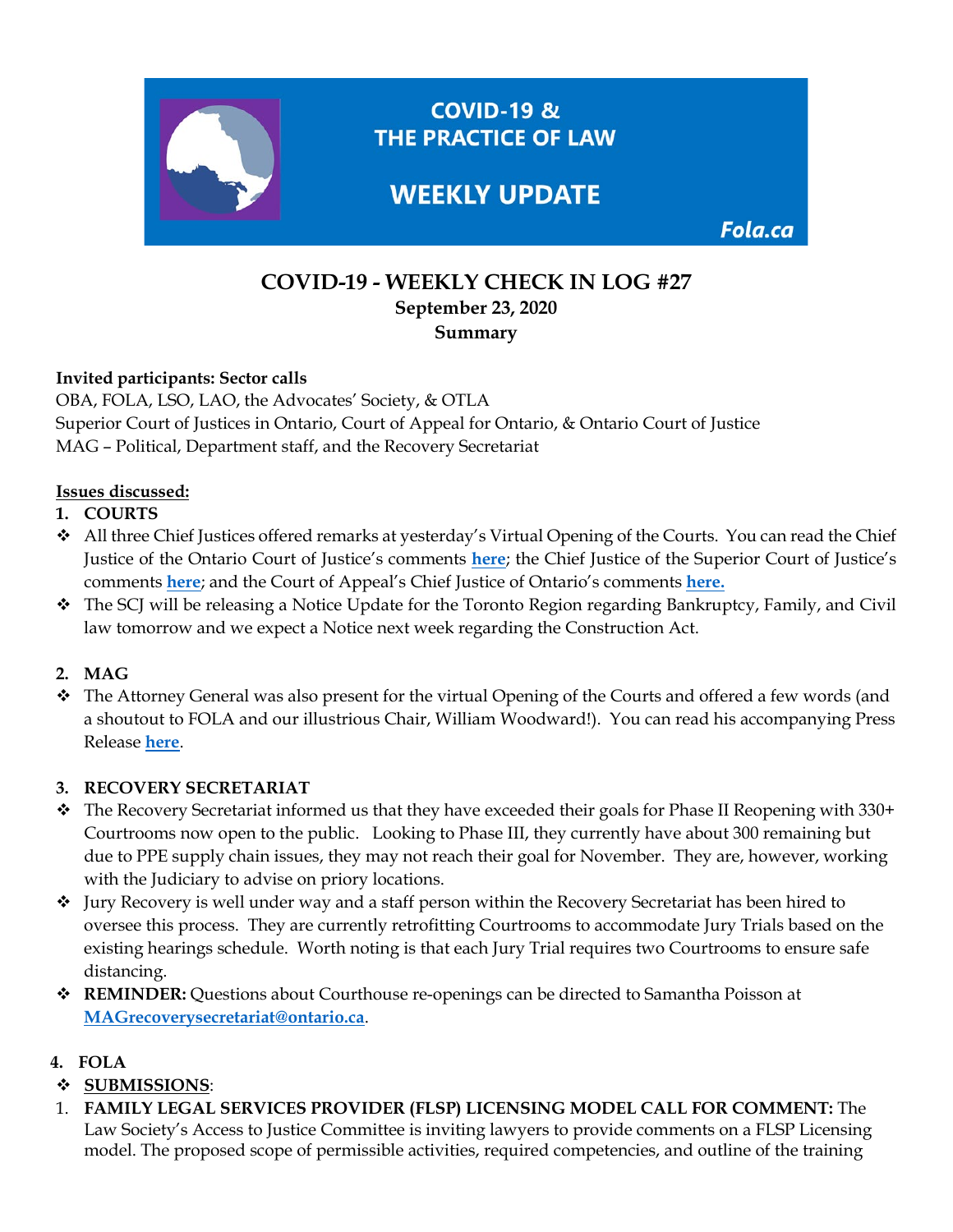

# **COVID-19 - WEEKLY CHECK IN LOG #27 September 23, 2020 Summary**

#### **Invited participants: Sector calls**

OBA, FOLA, LSO, LAO, the Advocates' Society, & OTLA Superior Court of Justices in Ontario, Court of Appeal for Ontario, & Ontario Court of Justice MAG – Political, Department staff, and the Recovery Secretariat

#### **Issues discussed:**

- **1. COURTS**
- $\clubsuit$  All three Chief Justices offered remarks at yesterday's Virtual Opening of the Courts. You can read the Chief Justice of the Ontario Court of Justice's comments **[here](https://www.ontariocourts.ca/ocj/ocj/publications/remarks/)**; the Chief Justice of the Superior Court of Justice's comments **[here](https://www.ontariocourts.ca/scj/news/speeches/oc/)**; and the Court of Appeal's Chief Justice of Ontario's comments **[here.](https://www.ontariocourts.ca/coa/en/ps/ocs/ocs.htm)**
- The SCJ will be releasing a Notice Update for the Toronto Region regarding Bankruptcy, Family, and Civil law tomorrow and we expect a Notice next week regarding the Construction Act.

## **2. MAG**

 The Attorney General was also present for the virtual Opening of the Courts and offered a few words (and a shoutout to FOLA and our illustrious Chair, William Woodward!). You can read his accompanying Press Release **[here](https://news.ontario.ca/en/release/58475/ontario-modernizing-justice-sector-to-be-more-accessible-responsive-and-affordable)**.

#### **3. RECOVERY SECRETARIAT**

- $\cdot \cdot$  The Recovery Secretariat informed us that they have exceeded their goals for Phase II Reopening with 330+ Courtrooms now open to the public. Looking to Phase III, they currently have about 300 remaining but due to PPE supply chain issues, they may not reach their goal for November. They are, however, working with the Judiciary to advise on priory locations.
- Jury Recovery is well under way and a staff person within the Recovery Secretariat has been hired to oversee this process. They are currently retrofitting Courtrooms to accommodate Jury Trials based on the existing hearings schedule. Worth noting is that each Jury Trial requires two Courtrooms to ensure safe distancing.
- **REMINDER:** Questions about Courthouse re-openings can be directed to Samantha Poisson at **[MAGrecoverysecretariat@ontario.ca](mailto:MAGrecoverysecretariat@ontario.ca)**.

## **4. FOLA**

## **SUBMISSIONS**:

1. **FAMILY LEGAL SERVICES PROVIDER (FLSP) LICENSING MODEL CALL FOR COMMENT:** The Law Society's Access to Justice Committee is inviting lawyers to provide comments on a FLSP Licensing model. The proposed scope of permissible activities, required competencies, and outline of the training